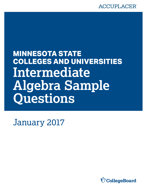# **ACCUPLACER**

# **COLLEGES AND UNIVERSITIES MINNESOTA STATE Intermediate Algebra Sample Questions**

January 2017

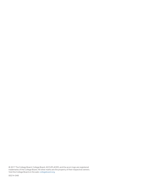© 2017 The College Board. College Board, ACCUPLACER, and the acorn logo are registered trademarks of the College Board. All other marks are the property of their respective owners. Visit the College Board on the web: [collegeboard.org](https://collegeboard.org).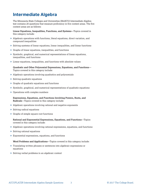# **Intermediate Algebra**

The Minnesota State Colleges and Universities (MnSCU) Intermediate Algebra test contains 20 questions that measure proficiency in five content areas. The five content areas are as follows:

**Linear Equations, Inequalities, Functions, and Systems**—Topics covered in this category include:

- Algebraic operations with functions, literal equations, direct variation, and compound inequalities
- $\triangleright$  Solving systems of linear equations, linear inequalities, and linear functions
- Graphs of linear equations, inequalities, and functions
- Symbolic, graphical, and numerical representations of linear equations, inequalities, and functions
- Linear equations, inequalities, and functions with absolute values

**Quadratic and Other Polynomial Expressions, Equations, and Functions**— Topics covered in this category include:

- Algebraic operations involving quadratics and polynomials
- $\triangleright$  Solving quadratic equations
- Graphs of quadratic equations and functions
- Symbolic, graphical, and numerical representations of quadratic equations
- Operations with complex numbers

**Expressions, Equations, and Functions Involving Powers, Roots, and Radicals**—Topics covered in this category include:

- Algebraic operations involving rational and negative exponents
- ▶ Solving radical equations
- Graphs of simple square root functions

**Rational and Exponential Expressions, Equations, and Functions**—Topics covered in this category include:

- $\blacktriangleright$  Algebraic operations involving rational expressions, equations, and functions
- ▶ Solving rational equations
- Exponential expressions, equations, and functions

**Word Problems and Applications**—Topics covered in this category include:

- Translating written phrases or sentences into algebraic expressions or equations
- Solving verbal problems in an algebraic context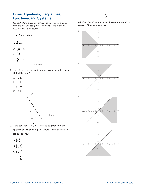#### **Linear Equations, Inequalities, Functions, and Systems**

*For each of the questions below, choose the best answer from the four choices given. You may use the paper you received as scratch paper.* 

1. If 
$$
B = \frac{3}{2}x + d
$$
, then  $x =$   
\nA.  $\frac{2}{3}B - d$   
\nB.  $\frac{2}{3}(B - d)$   
\nC.  $\frac{3}{2}B - d$   
\nD.  $\frac{3}{2}(B - d)$ 

*y* ≥ 5*x* + 3

- 2. If  $x \ge 2$ , then the inequality above is equivalent to which of the following?
	- A.  $y \ge 10$
	- **B.**  $y ≤ 10$
	- C.  $y ≥ 13$
	- D.  $y ≤ 13$



- 3. If the equation  $y = \frac{3}{2}x 1$  were to be graphed in the *xy*-plane above, at what point would the graph intersect the line shown?
	- A.  $\left(-\frac{4}{3}, 1\right)$ B.  $\left(\frac{4}{3}, 1\right)$ C.  $\left(1, -\frac{4}{3}\right)$ D.  $\left(1, \frac{4}{3}\right)$
- *y* < *x y* > −*x*
- 4. Which of the following shows the solution set of the system of inequalities above?

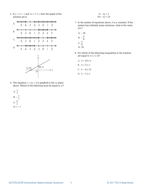5. If  $x + 3 \ge -1$  and  $2x + 5 \le 1$ , then the graph of the solution set is



- 6. The equation  $y = mx + b$  is graphed in the *xy*-plane above. Which of the following must be equal to *m*?
	- A.  $\frac{t}{v}$ B.  $-\frac{t}{v}$ c.  $\frac{b}{v}$ D.  $t - v$
- $2x 6y = 4$  $10x - ky = 20$
- 7. In the system of equations above,  $k$  is a constant. If the system has infinitely many solutions, what is the value of *k*?
	- $A. 30$ B.  $-\frac{5}{6}$ C.  $\frac{5}{6}$
	- D. 30
- set equal to  $4 \le t \le 10$ ? 8. For which of the following inequalities is the solution
	- *A*.  $|t + 10|$  ≤ 4
	- **B.**  $|t + 7|$ ≤ 3
	- $|t-4|$  ≤ 10
	- D.  $|t 7|$  ≤ 3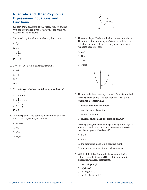#### **Quadratic and Other Polynomial Expressions, Equations, and Functions**

*For each of the questions below, choose the best answer from the four choices given. You may use the paper you received as scratch paper.* 

1. If  $12 - 3x^2 = 2y$  for all real numbers *x*, then  $x^2 - 4 =$ 

A. 
$$
2y
$$
  
\nB.  $\frac{2}{3}y$   
\nC.  $-\frac{2}{3}y$   
\nD.  $-\frac{3}{2}y$ 

- 2. If  $x^4 + x^2 + x + 5 = x^4 + 25$ , then *x* could be
	- A.  $-5$ B. −4
	-
	- C. 2
	- D. 5
- 3. If  $x^2 2 < \frac{7}{2}x$ , which of the following must be true?
	- A  $-4 < x < 2$ B.  $-\frac{1}{2} < x < 4$ C.  $x < -\frac{1}{2}$ D.  $x > 4$
- *y* =  $x^4$  − 8 $x^2$  − 9, then  $(x, y)$  could be 4. In the *xy*-plane, if the point  $(x, y)$  is on the *x*-axis and
	- A.  $(0, -3)$
	- B. (0, 1)
	- C. (3, 0)
	- D. (9, 0)



- 5. The parabola  $y = f(x)$  is graphed in the *xy*-plane above. The graph of the parabola  $y = g(x)$  can be obtained by  $real$  roots does  $g(x)$  have? reflecting the graph of *f* across the *y*-axis. How many
	- A. Zero
	- B. One
	- C. Two
	- D. Three



- 6. The quadratic function  $y = f(x) = ax^2 + bx + c$  is graphed in the *xy*-plane above. The equation  $ax^2 + bx + c = dx$ , where *d* is a constant, has
	- A. no real or complex solutions
	- B. exactly one real solution
	- C. two real solutions
	- D. one real solution and one complex solution
- *y* 2. In the *xy*-plane, the graph of the parabola  $y = a(x h)^2 + k$ , where *a, h,* and *k* are constants, intersects the *x*-axis at two distinct points if and only if
	- A.  $h > 0$
	- B.  $a < 0$
	- C. the product of  $a$  and  $k$  is a negative number
	- D. the product of  $a$  and  $k$  is a positive number
- 8. Which of the following products, when multiplied out and simplified, does NOT result in a quadratic expression with real coefficients?

A.  $(2x - \sqrt{3})(x + \sqrt{3})$ B.  $(ix)(1 - ix)$ C.  $(x − 8i)(x + 8i)$ D.  $(x+2-3i)(x+2+3i)$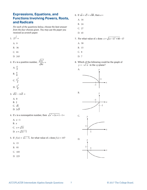# **Expressions, Equations, and**  $\qquad 6.$  If  $\sqrt{a} + \sqrt{3} = \sqrt{48}$ , then  $a =$ **Functions Involving Powers, Roots,** A. 16 **and Radicals**<br>B. 24<br>For each of the questions below, choose the best answer

*For each of the questions below, choose the best answer* C. 27 *from the four choices given. You may use the paper you received as scratch paper.* D. 45

- $27^{\frac{4}{3}} =$ 
	-
	-
	-
	- D. 243 D. 7

 $\frac{2x^3}{8x} =$ 

A. 
$$
\frac{x}{2}
$$
\nB.  $\frac{x}{4}$ \nC.  $\frac{x^2}{2}$ \nD.  $\frac{x^2}{4}$ 

3.  $\sqrt{12} - 2\sqrt{3} =$  B.

- . A 0 . B 2
- C.  $\sqrt{6}$ D.  $2\sqrt{3}$
- 2. If *x* is a nonnegative number, then  $\sqrt{x^2 + 2x + 1} 1 =$  C.

A. *x* −1 B. *x*   $C_x x + \sqrt{2x}$ D.  $x + \sqrt{2x-1}$ 

- 5. If  $f(x) = \sqrt{x 5}$ , for what value of *x* does  $f(x) = 10$ ? D.
	- A. 15
	- B. 95
	- C. 105
	- D. 225
- -
	-
	-
	-
- 7. For what value of *x* does  $x = \sqrt{(x-1)^2 + 60} 1$ ?
- A. 9 A. 30
- B. 36 B. 15
- C. 81 C. 8
	-
	- 8. Which of the following could be the graph of  $y = -\sqrt{-x}$  in the *xy*-plane?

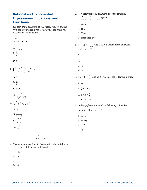#### **Rational and Exponential Expressions, Equations, and Functions**

*For each of the questions below, choose the best answer from the four choices given. You may use the paper you received as scratch paper.* 

1. 
$$
\frac{7x}{x-3} - \frac{21}{x-3} =
$$
  
A. 
$$
\frac{7}{x-3}
$$
  
B. 
$$
\frac{7}{x}
$$
  
C. 7  
D. 0

 $\begin{pmatrix} 1 & a \end{pmatrix}$   $\begin{pmatrix} b^2 - a^2 \end{pmatrix}$ 2.  $\left(\frac{1}{a} - \frac{a}{b^2}\right) \div \left(\frac{b-a}{ab}\right) =$ 

$$
A. 1
$$

B. 
$$
\frac{1}{b}
$$
 C.  $\frac{1-a}{a}$ 

$$
\frac{b}{b}
$$
  
D. 
$$
\frac{a}{b(b^2-a^2)}
$$

3. 
$$
\frac{s}{3t-1} - \frac{s}{3t+1} =
$$

$$
\begin{array}{c}\nA. & 0 \\
\hline\n\end{array}
$$

B. 
$$
\frac{1}{3t^2 - 1}
$$
  
\nC.  $\frac{6st}{9t^2 - 1}$   
\nD.  $\frac{2s}{9t^2 - 1}$ 

$$
\frac{3}{x} - \frac{2}{x-1} = \frac{1}{12}
$$

4. There are two solutions to the equation above. What is the product of these two solutions?

A. –36

B.  $-9$ 

C. 13

D. 36

5. How many different solutions does the equation

$$
\frac{3}{x(x-3)} + \frac{7}{x} = \frac{1}{x-3}
$$
 have?

- A. None
- B. One
- C. Two
- D. More than two
- $6 \text{ If } f(x) = 2x$ 6. If  $f(x) = \frac{2x}{x-1}$  and  $1 < c < 2$ , which of the following could be  $f(c)$ ?
	- A.  $\frac{1}{2}$
	- B.  $\frac{5}{2}$
	- C. 4
	- D. 6
	- 7. If  $x + 8 = \frac{20}{x}$  and  $x > 0$ , which of the following is true?
		- A.  $-1 < x < 1$ B.  $\frac{1}{2} < x < 3$ C.  $2 < x < \frac{9}{2}$ D.  $5 < x < 20$
	- the graph of  $y = x \frac{1}{x}$ ? 8. In the *xy*-plane, which of the following points lies on
		- A.  $(-1, -2)$ B.  $(0, -1)$ C.  $(1, 0)$ D.  $\left(2, \frac{1}{2}\right)$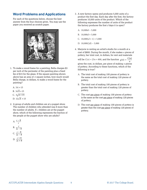#### **Word Problems and Applications**

For each of the questions below, choose the best answer from the four choices given. You may use the paper you received as scratch paper.



1. To make a wood frame for a painting, Bella charges \$3 per inch of the perimeter of the painting plus a fixed fee of \$15 for the glass. If the square painting shown above has an area of *A* square inches, how much would Bella charge, in dollars, to make a wood frame for the painting?

A. 3*A* + 15

- B.  $3\sqrt{A}+15$
- C.  $3\sqrt{A+15}$
- D.  $12\sqrt{A} + 15$
- 2. A group of adults and children are at a puppet show. The number of children who attended was 8 more than the number of adults. If *c* children are at the puppet show, which of the following represents the fraction of the people at the puppet show who are adults?

A. 
$$
\frac{c-8}{c}
$$
  
B. 
$$
\frac{c}{2c-8}
$$
  
C. 
$$
\frac{c-8}{2c-8}
$$

D. 
$$
\frac{c+8}{2c+8}
$$

- 3. A new factory opens and produces 5,000 units of a product the first day. Each day after the first, the factory produces 10,000 units of the product. Which of the following expresses the number of units of the product the factory produces the first *d* days it is open?
	- A. 10*,*000*d* − 5*,*000
	- B. 10*,*000*d* + 5*,*000
	- C. 10*,*000(*d* + 1) + 5*,*000
	- D. 10*,*000(2*d*) − 5*,*000
- 4. Marjorie is renting an artist's studio for a month at a cost of \$800. During the month, if she makes *n* pieces of pottery, her total cost, in dollars, for rent and materials

will be  $C(n) = 25n + 800$ , and the function  $g(n) = \frac{C(n)}{n}$ 

gives the cost, in dollars, per piece of making *n* pieces of pottery. According to these functions, which of the following is true?

- A. The total cost of making 100 pieces of pottery is the same as the total cost of making 120 pieces of pottery.
- B. The total cost of making 100 pieces of pottery is greater than the total cost of making 120 pieces of pottery.
- C. The cost per piece of making 100 pieces of pottery is the same as the cost per piece of making 120 pieces of pottery.
- D. The cost per piece of making 100 pieces of pottery is greater than the cost per piece of making 120 pieces of pottery.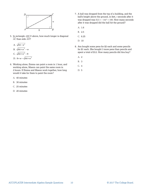

- 5. In rectangle *ABCD* above, how much longer is diagonal  $\overline{AC}$  than side  $\overline{AD}$ ?
	- A.  $\sqrt{64 w^2}$
	- B.  $\sqrt{64 + w^2} w$
	- C.  $\sqrt{64 + w^2} 8$
	- D.  $8 + w \sqrt{64 + w^2}$
- 6. Working alone, Emma can paint a room in 1 hour, and working alone, Mason can paint the same room in 2 hours. If Emma and Mason work together, how long would it take for them to paint the room?
	- A. 40 minutes
	- B. 30 minutes
	- C. 25 minutes
	- D. 20 minutes
- was dropped was  $h(t) = -16t^2 + 100$ . How many seconds 7. A ball was dropped from the top of a building, and the ball's height above the ground, in feet, *t* seconds after it after it was dropped did the ball hit the ground?
	- A. 1.6
	- B. 2.5
	- C. 6.25
	- D. 10
- 8. Ava bought some pens for \$2 each and some pencils for \$1 each. She bought 3 more pens than pencils and spent a total of \$12. How many pencils did Ava buy?
	- A. 2
	- B. 3
	- C. 4
	- D. 5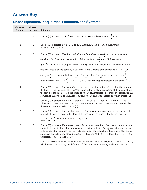# **Answer Key**

### **Linear Equations, Inequalities, Functions, and Systems**

| <b>Question</b><br><b>Number</b> | <b>Correct</b><br><b>Answer</b> | Rationale                                                                                                                                                                                                                                                                                                                                                                                                                                                                                                                                                                                                                                                                                                                                                       |
|----------------------------------|---------------------------------|-----------------------------------------------------------------------------------------------------------------------------------------------------------------------------------------------------------------------------------------------------------------------------------------------------------------------------------------------------------------------------------------------------------------------------------------------------------------------------------------------------------------------------------------------------------------------------------------------------------------------------------------------------------------------------------------------------------------------------------------------------------------|
| $\mathbf 1$                      | $\, {\bf B}$                    | Choice (B) is correct. If $B = \frac{3}{2}x + d$ , then $B - d = \frac{3}{2}x$ . It follows that $x = \frac{2}{3}(B - d)$ .                                                                                                                                                                                                                                                                                                                                                                                                                                                                                                                                                                                                                                     |
| 2                                | $\mathsf C$                     | Choice (C) is correct. If $y \ge 5x + 3$ and $x \ge 2$ , then $5x \ge (5)(2) = 10$ . It follows that<br>$y \ge 5x + 3 \ge 10 + 3 = 13.$                                                                                                                                                                                                                                                                                                                                                                                                                                                                                                                                                                                                                         |
| 3                                | B                               | Choice (B) is correct. The line graphed in the figure has slope $-\frac{3}{2}$ and has a y-intercept<br>equal to 3. It follows that the equation of this line is $y = -\frac{3}{2}x + 3$ . If the equation<br>$y = \frac{3}{2}x - 1$ were to be graphed in the same <i>xy</i> -plane, then the point of intersection of the<br>two lines would be the point $(x, y)$ such that x and y satisfy both equations. If $y = -\frac{3}{2}x + 3$<br>and $y = \frac{3}{2}x - 1$ both hold, then $-\frac{3}{2}x + 3 = \frac{3}{2}x - 1$ , so $4 = \frac{6}{2}x = 3x$ , and then $x = \frac{4}{3}$ .<br>It follows that $y = \left(-\frac{3}{2}\right)\left(\frac{4}{3}\right) + 3 = -2 + 3 = 1$ . Thus the graphs intersect at the point $\left(\frac{4}{3}, 1\right)$ . |
| 4                                | $\rm C$                         | Choice (C) is correct. The region in the $xy$ -plane consisting of the points below the graph of<br>the line $y = x$ is the graph of $y < x$ . The region in the <i>xy</i> -plane consisting of the points above<br>the graph of the line $y = -x$ is the graph of $y > -x$ . The intersection of these two regions is the<br>solution to the system of equalities $y < x$ and $y > -x$ . This is the region shown in choice (C).                                                                                                                                                                                                                                                                                                                               |
| 5                                | D                               | Choice (D) is correct. If $x + 3 \ge -1$ , then $x \ge -4$ . If $2x + 5 \le 1$ , then $2x \le -4$ and $x \le -2$ . It<br>follows that if $x + 3 \ge -1$ and $2x + 5 \le 1$ , then $x \ge -4$ and $x \le -2$ . These inequalities describe<br>the solution set graphed in choice (D).                                                                                                                                                                                                                                                                                                                                                                                                                                                                            |
| 6                                | B                               | Choice (B) is correct. The equation $y = mx + b$ is in slope-intercept form, so the coefficient<br>of $x$ , which is $m$ , is equal to the slope of the line. Also, the slope of the line is equal to<br>$\frac{t-0}{0} = \frac{t}{t} = -\frac{t}{t}$ . Therefore, <i>m</i> must be equal to $-\frac{t}{t}$ .                                                                                                                                                                                                                                                                                                                                                                                                                                                   |
| 7                                | D                               | Choice $(D)$ is correct. If the system has infinitely many solutions, then the two equations are<br>equivalent. That is, the set of ordered pairs $(x, y)$ that satisfies $2x - 6y = 4$ is the same set of<br>ordered pairs that satisfies $10x - ky = 20$ . Equivalent equations have the property that one is<br>a nonzero multiple of the other. Since $2x(5) = 10x$ , and $4(5) = 20$ , it follows that $-6y(5) = -ky$ .<br>Therefore, $-30y = -ky$ and $k = 30$ .                                                                                                                                                                                                                                                                                          |
| 8                                | $\mathbb D$                     | Choice (D) is correct. The inequality $4 \le t \le 10$ is equivalent to the inequality $4-7 \le t-7 \le 10-7$ ,<br>which is $-3 \le t - 7 \le 3$ . By the definition of absolute value, this is equivalent to $ t - 7  \le 3$ .                                                                                                                                                                                                                                                                                                                                                                                                                                                                                                                                 |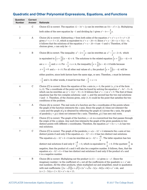| <b>Question</b><br><b>Number</b> | <b>Correct</b><br><b>Answer</b> | <b>Rationale</b>                                                                                                                                                                                                                                                                                                                                                                                                                                                                                                                                                                                                                                                                                                               |
|----------------------------------|---------------------------------|--------------------------------------------------------------------------------------------------------------------------------------------------------------------------------------------------------------------------------------------------------------------------------------------------------------------------------------------------------------------------------------------------------------------------------------------------------------------------------------------------------------------------------------------------------------------------------------------------------------------------------------------------------------------------------------------------------------------------------|
| 1                                | $\mathbf C$                     | Choice (C) is correct. The equation $12 - 3x^2 = 2y$ can be rewritten as $3(4 - x^2) = 2y$ . Multiplying                                                                                                                                                                                                                                                                                                                                                                                                                                                                                                                                                                                                                       |
|                                  |                                 | both sides of the new equation by -1 and dividing by 3 gives $x^2 - 4 = -\frac{2}{3}y$ .                                                                                                                                                                                                                                                                                                                                                                                                                                                                                                                                                                                                                                       |
| 2                                | Α                               | Choice (A) is correct. Subtracting $x^4$ from both sides of the equation $x^4 + x^2 + x + 5 = x^4 + 25$<br>gives $x^2 + x + 5 = 25$ , which is equivalent to $x^2 + x - 20 = 0$ . Since $x^2 + x - 20 = (x + 5)(x - 4)$ ,<br>it follows that the solutions of the equation $x^2 + x - 20 = 0$ are -5 and 4. Therefore, of the<br>choices given, $x$ can only be $-5$ .                                                                                                                                                                                                                                                                                                                                                         |
| 3                                | B                               | Choice (B) is correct. The inequality $x^2 - 2 < \frac{7}{2}x$ can be rewritten as $x^2 - \frac{7}{2}x - 2 < 0$ , which<br>is equivalent to $\left(x+\frac{1}{2}\right)(x-4) < 0$ . The solutions to the related equation $\left(x+\frac{1}{2}\right)(x-4) = 0$<br>are $x = -\frac{1}{2}$ and $x = 4$ . For $-\frac{1}{2} < x < 4$ , the inequality $\left(x + \frac{1}{2}\right)(x - 4) < 0$ holds because<br>$x+\frac{1}{2}>0$ and $x-4<0$ . For all other real values of x, the product $\left(x+\frac{1}{2}\right)(x-4)$ will be<br>either positive, since both factors have the same sign, or zero. Therefore, $x$ must be between<br>$-\frac{1}{2}$ and 4. In other words, it must be true that $-\frac{1}{2} < x < 4$ . |
| 4                                | C                               | Choice (C) is correct. Since the equation of the x-axis is $y = 0$ , the point $(x, y)$ is of the form<br>$(x, 0)$ . The x-coordinate of the point can then be found by solving the equation $x^4 - 8x^2 - 9 = 0$ ,<br>which can be rewritten as $(x^2 + 1)(x^2 - 9) = 0$ . It follows that $x^2 = -1$ or $x^2 = 9$ . The first of these<br>equations has the two complex solutions $i$ and $-i$ , and the second has the two real solutions<br>3 and $-3$ . Therefore, of the choices given, only $(3, 0)$ could be the point that satisfies the two<br>conditions of the problem.                                                                                                                                            |
| 5                                | Α                               | Choice (A) is correct. The real roots of a function are the x-coordinates of the points where<br>the graph of the function intersects the x-axis. Since the graph of $f$ does not intersect the<br><i>x</i> -axis and the graph of <i>g</i> is obtained by reflecting the graph of <i>f</i> across the <i>y</i> -axis, the graph<br>of parabola $y = g(x)$ does not intersect the <i>x</i> -axis. Therefore, $g(x)$ has zero real roots.                                                                                                                                                                                                                                                                                       |
| 6                                | C                               | Choice (C) is correct. The graph of the function $y = dx$ is a nonvertical line that passes through<br>the origin of the $xy$ -plane. Any such line intersects the graph of the given parabola in two<br>distinct points with different x-coordinates. Therefore, the equation $ax^2 + bx + c = dx$ has two<br>real solutions.                                                                                                                                                                                                                                                                                                                                                                                                 |
| 7                                | C                               | Choice (C) is correct. The graph of the parabola $y = a(x - h)^2 + k$ intersects the x-axis at two<br>distinct points if and only if the equation $a(x - h)^2 + k = 0$ has two distinct real solutions.<br>The equation $a(x-h)^2 + k = 0$ can be rewritten as $(x-h)^2 = \frac{-k}{a}$ . The latter equation has two<br>distinct real solutions if and only if $\frac{-k}{a} > 0$ , which is equivalent to $\frac{k}{a} < 0$ . If the quotient $\frac{k}{a}$ is<br>negative, then the product of $a$ and $k$ will also be a negative number. It follows, then, that the<br>equation $a(x - h)^2 + k = 0$ has two distinct real solutions if and only if the product of a and<br>$k$ is a negative number.                     |
| 8                                | B                               | Choice (B) is correct. Multiplying out the product $(ix)(1-ix)$ gives $ix-x^2$ . Since the<br>imaginary number <i>i</i> is the coefficient of <i>x</i> , not all the coefficients of the quadratic $ix + x^2$ are<br>real numbers. All the other products, when multiplied out and simplified, result in quadratics<br>with real coefficients: $(2x-\sqrt{3})(x+\sqrt{3})=2x^2+\sqrt{3}x-3(x-8i)(x+8i)=x^2+64$ ; and<br>$(x+2-3i)(x+2+3i) = x^2 + 4x + 13.$                                                                                                                                                                                                                                                                    |

## **Quadratic and Other Polynomial Expressions, Equations, and Functions**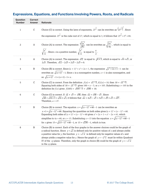| <b>Question</b><br><b>Number</b> | <b>Correct</b><br><b>Answer</b> | <b>Rationale</b>                                                                                                                                                                                                                                                                                                                                                                                                                                                                                                                                   |
|----------------------------------|---------------------------------|----------------------------------------------------------------------------------------------------------------------------------------------------------------------------------------------------------------------------------------------------------------------------------------------------------------------------------------------------------------------------------------------------------------------------------------------------------------------------------------------------------------------------------------------------|
| $\mathbf{1}$                     | $\mathbf C$                     | Choice (C) is correct. Using the laws of exponents, $27^{\frac{1}{3}}$ can be rewritten as $\left(27^{\frac{1}{3}}\right)^{7}$ . Since<br>the expression $27^{\frac{3}{3}}$ is the cube root of 27, which is equal to 3, it follows that $27^{\frac{3}{3}} = 3^4 = 81$ .                                                                                                                                                                                                                                                                           |
| $\overline{c}$                   | Α                               | Choice (A) is correct. The expression $\frac{\sqrt{2x^3}}{\sqrt{8x}}$ can be rewritten as $\sqrt{\frac{2x^3}{8x}}$ , which is equal to<br>$\sqrt{\frac{x^2}{4}}$ . Since <i>x</i> is a positive number, $\sqrt{\frac{x^2}{4}}$ is equal to $\frac{x}{2}$ .                                                                                                                                                                                                                                                                                         |
| 3                                | A                               | Choice (A) is correct. The expression $\sqrt{12}$ is equal to $\sqrt{4 \times 3}$ , which is equal to $\sqrt{4} \times \sqrt{3}$ , or<br>$2\sqrt{3}$ . Therefore, $\sqrt{12} - 2\sqrt{3} = 2\sqrt{3} - 2\sqrt{3} = 0$ .                                                                                                                                                                                                                                                                                                                            |
| $\overline{4}$                   | B                               | Choice (B) is correct. Since $(x + 1)^2 = x^2 + 2x + 1$ , the expression $\sqrt{x^2 + 2x + 1} - 1$ can be<br>rewritten as $\sqrt{(x+1)^2}$ – 1. Since x is a nonnegative number, $x + 1$ is also nonnegative, and<br>so $\sqrt{(x+1)^2} - 1 = (x+1) - 1 = x$ .                                                                                                                                                                                                                                                                                     |
| 5                                | C                               | Choice (C) is correct. From the definition $f(x) = \sqrt{x-5}$ , if $f(x) = 10$ , then $10 = \sqrt{x-5}$ .<br>Squaring both sides of $10 = \sqrt{x-5}$ gives $100 = x-5$ , or $x = 105$ . Substituting $x = 105$ in the<br>definition for $f(x)$ gives $f(105) = \sqrt{105 - 5} = \sqrt{100} = 10$ .                                                                                                                                                                                                                                               |
| 6                                | $\mathbf C$                     | Choice (C) is correct. If $\sqrt{a} + \sqrt{3} = \sqrt{48}$ , then $\sqrt{a} = \sqrt{48} - \sqrt{3}$ . Since<br>$\sqrt{48} = \sqrt{16 \times 3} = \sqrt{16} \times \sqrt{3}$ , it follows that $\sqrt{a} = 4\sqrt{3} - \sqrt{3} = 3\sqrt{3} = \sqrt{9} \times \sqrt{3} = \sqrt{27}$ .<br>Therefore, $a = 27$ .                                                                                                                                                                                                                                     |
| 7                                | B                               | Choice (B) is correct. The equation $x = \sqrt{(x-1)^2 + 60} - 1$ can be rewritten as<br>$x+1=\sqrt{(x-1)^2+60}$ . Squaring the quantities on both sides gives $(x + 1)^2 = (x - 1)^2 + 60$ .<br>Expanding both sides of $(x + 1)^2 = (x - 1)^2 + 60$ gives $x^2 + 2x + 1 = x^2 - 2x + 61$ , which<br>simplifies to $4x = 60$ , or $x = 15$ . Substituting $x = 15$ into the equation $x = \sqrt{(x-1)^2 + 60} - 1$<br>for x gives $15 = \sqrt{(15-1)^2 + 60} - 1$ , or $15 = \sqrt{256} - 1$ , which is true.                                     |
| 8                                | B                               | Choice (B) is correct. Each of the four graphs in the answer choices could be the graph of<br>a radical function. Since $y = \sqrt{x}$ is defined only for positive values of x and always yields<br>a positive value for y, the function $y = -\sqrt{-x}$ is defined only for negative values of x and<br>always yields a negative value for y. Hence the graph of $y = -\sqrt{-x}$ must lie within Quadrant<br>IV of the <i>xy</i> -plane. Therefore, only the graph in choice (B) could be the graph of $y = -\sqrt{-x}$<br>in the $xy$ -plane. |

## **Expressions, Equations, and Functions Involving Powers, Roots, and Radicals**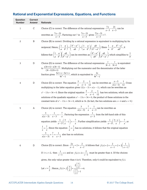| <b>Question</b><br><b>Number</b> | <b>Correct</b><br><b>Answer</b> | <b>Rationale</b>                                                                                                                                                                                                                                      |
|----------------------------------|---------------------------------|-------------------------------------------------------------------------------------------------------------------------------------------------------------------------------------------------------------------------------------------------------|
| 1                                | $\rm C$                         | Choice (C) is correct. The difference of the rational expressions $\frac{7x}{x-3} - \frac{21}{x-3}$ can be                                                                                                                                            |
|                                  |                                 | rewritten as $\frac{7x-21}{x-3}$ . Factoring out 7 in $\frac{7x-21}{x-3}$ gives $\frac{7(x-3)}{x-3} = 7$ .                                                                                                                                            |
| 2                                | B                               | Choice (B) is correct. Dividing by a rational expression is equivalent to multiplying by its                                                                                                                                                          |
|                                  |                                 | reciprocal. Hence, $\left(\frac{1}{a} - \frac{a}{b^2}\right) \div \left(\frac{b^2 - a^2}{ab}\right) = \left(\frac{1}{a} - \frac{a}{b^2}\right) \left(\frac{ab}{b^2 - a^2}\right)$ . Since $\frac{1}{a} - \frac{a}{b^2} = \frac{b^2 - a^2}{ab^2}$ , it |
|                                  |                                 | follows that $\left(\frac{1}{a} - \frac{a}{b^2}\right)\left(\frac{ab}{b^2 - a^2}\right)$ can be rewritten as $\left(\frac{b^2 - a^2}{ab^2}\right)\left(\frac{ab}{b^2 - a^2}\right)$ , which simplifies to $\frac{1}{b}$ .                             |
| 3                                | D                               | Choice (D) is correct. The difference of the rational expressions $\frac{s}{3t-1} - \frac{s}{3t+1}$ is equivalent                                                                                                                                     |
|                                  |                                 | to $\frac{s(3t+1)-s(3t-1)}{(3t-1)(3t+1)}$ . Multiplying out the numerator and the denominator of the latter                                                                                                                                           |
|                                  |                                 | fraction gives $\frac{3st+s-3st+s}{\alpha t^2-1}$ , which is equivalent to $\frac{2s}{\alpha t^2-1}$ .                                                                                                                                                |
| 4                                | D                               | Choice (D) is correct. The equation $\frac{3}{r} - \frac{2}{r-1} = \frac{1}{12}$ can be rewritten as $\frac{x-3}{r(r-1)} = \frac{1}{12}$ . Cross                                                                                                      |
|                                  |                                 | multiplying in the latter equation gives $12(x-3) = x(x-1)$ , which can be rewritten as                                                                                                                                                               |
|                                  |                                 | $x^2-13x+36=0$ . Since the original equation $\frac{3}{x}-\frac{2}{x-1}=\frac{1}{12}$ has two solutions, which are also                                                                                                                               |
|                                  |                                 | solutions of the quadratic equation $x^2 - 13x + 36 = 0$ , the product of these solutions is the<br>constant term of $x^2 - 13x + 36 = 0$ , which is 36. (In fact, the two solutions are $x = 4$ and $x = 9$ .)                                       |
| 5                                | Α                               | Choice (A) is correct. The equation $\frac{3}{x(x-3)} + \frac{7}{x} = \frac{1}{x-3}$ can be rewritten as                                                                                                                                              |
|                                  |                                 | $\frac{3}{r(x-3)} - \frac{1}{x-3} = -\frac{7}{r}$ . Factoring the expression $\frac{1}{x-3}$ from the left-hand side of this                                                                                                                          |
|                                  |                                 | equation yields $\frac{1}{x-3} \left( \frac{3}{x} - 1 \right) = -\frac{7}{x}$ . Further simplification yields $\frac{1}{x-3} \left( \frac{3-x}{x} \right) = -\frac{7}{x}$ , or                                                                        |
|                                  |                                 | $\frac{1}{x} = \frac{7}{x}$ . Since the equation $\frac{1}{x} = \frac{7}{x}$ has no solutions, it follows that the original equation                                                                                                                  |
|                                  |                                 | $\frac{3}{x(x-3)} + \frac{7}{x} = \frac{1}{x-3}$ also has no solutions.                                                                                                                                                                               |
| 6                                | D                               | Choice (D) is correct. Since $\frac{2x}{x-1} = 2 + \frac{2}{x-1}$ , it follows that $f(x) = 2 + \frac{2}{x-1} = 2 + 2\left(\frac{1}{x-1}\right)$ .                                                                                                    |
|                                  |                                 | If $1 < c < 2$ , then $\frac{1}{c-1} > 1$ and so $f(c) = 2 + \frac{2}{c-1}$ must be greater than 4. Of the choices                                                                                                                                    |
|                                  |                                 | given, the only value greater than 4 is 6. Therefore, only 6 could be equivalent to $f(c)$ .                                                                                                                                                          |
|                                  |                                 | Let $c = \frac{3}{2}$ . Hence, $f(c) = f\left(\frac{3}{2}\right) = \frac{2\left(\frac{3}{2}\right)}{\left(\frac{3}{2}\right) - 1} = 6$ .                                                                                                              |

## **Rational and Exponential Expressions, Equations, and Functions**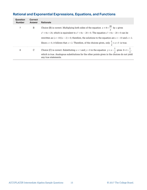## **Rational and Exponential Expressions, Equations, and Functions**

| <b>Question</b><br><b>Number</b> | <b>Correct</b><br><b>Answer</b> | <b>Rationale</b>                                                                                                            |
|----------------------------------|---------------------------------|-----------------------------------------------------------------------------------------------------------------------------|
| 7                                | B                               | Choice (B) is correct. Multiplying both sides of the equation $x + 8 = \frac{20}{x}$ by x gives                             |
|                                  |                                 | $x^{2} + 8x = 20$ , which is equivalent to $x^{2} + 8x - 20 = 0$ . The equation $x^{2} + 8x - 20 = 0$ can be                |
|                                  |                                 | rewritten as $(x + 10)(x - 2) = 0$ ; therefore, the solutions to the equation are $x = -10$ and $x = 2$ .                   |
|                                  |                                 | Since $x > 0$ , it follows that $x = 2$ . Therefore, of the choices given, only $\frac{1}{2} < x < 3$ is true.              |
| 8                                |                                 | Choice (C) is correct. Substituting $x = 1$ and $y = 0$ in the equation $y = x - \frac{1}{x}$ gives $0 = 1 - \frac{1}{1}$ , |
|                                  |                                 | which is true. Analogous substitutions for the other points given in the choices do not yield<br>any true statements.       |